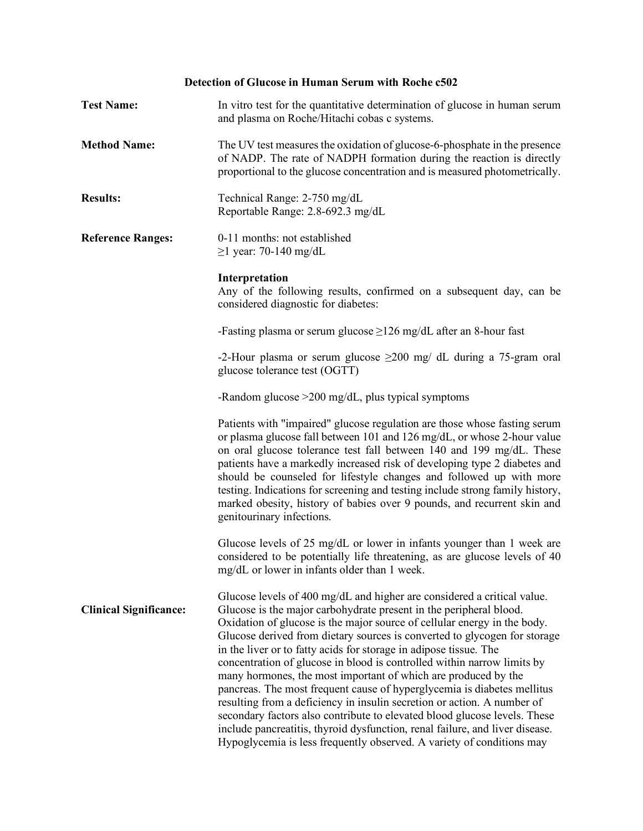# **Detection of Glucose in Human Serum with Roche c502**

| <b>Test Name:</b>             | In vitro test for the quantitative determination of glucose in human serum<br>and plasma on Roche/Hitachi cobas c systems.                                                                                                                                                                                                                                                                                                                                                                                                                                                                                                                                                                                                                                                                                                                                                                                           |
|-------------------------------|----------------------------------------------------------------------------------------------------------------------------------------------------------------------------------------------------------------------------------------------------------------------------------------------------------------------------------------------------------------------------------------------------------------------------------------------------------------------------------------------------------------------------------------------------------------------------------------------------------------------------------------------------------------------------------------------------------------------------------------------------------------------------------------------------------------------------------------------------------------------------------------------------------------------|
| <b>Method Name:</b>           | The UV test measures the oxidation of glucose-6-phosphate in the presence<br>of NADP. The rate of NADPH formation during the reaction is directly<br>proportional to the glucose concentration and is measured photometrically.                                                                                                                                                                                                                                                                                                                                                                                                                                                                                                                                                                                                                                                                                      |
| <b>Results:</b>               | Technical Range: 2-750 mg/dL<br>Reportable Range: 2.8-692.3 mg/dL                                                                                                                                                                                                                                                                                                                                                                                                                                                                                                                                                                                                                                                                                                                                                                                                                                                    |
| <b>Reference Ranges:</b>      | 0-11 months: not established<br>$\geq$ 1 year: 70-140 mg/dL                                                                                                                                                                                                                                                                                                                                                                                                                                                                                                                                                                                                                                                                                                                                                                                                                                                          |
|                               | Interpretation<br>Any of the following results, confirmed on a subsequent day, can be<br>considered diagnostic for diabetes:                                                                                                                                                                                                                                                                                                                                                                                                                                                                                                                                                                                                                                                                                                                                                                                         |
|                               | -Fasting plasma or serum glucose $\geq$ 126 mg/dL after an 8-hour fast                                                                                                                                                                                                                                                                                                                                                                                                                                                                                                                                                                                                                                                                                                                                                                                                                                               |
|                               | -2-Hour plasma or serum glucose $\geq$ 200 mg/ dL during a 75-gram oral<br>glucose tolerance test (OGTT)                                                                                                                                                                                                                                                                                                                                                                                                                                                                                                                                                                                                                                                                                                                                                                                                             |
|                               | -Random glucose $>200$ mg/dL, plus typical symptoms                                                                                                                                                                                                                                                                                                                                                                                                                                                                                                                                                                                                                                                                                                                                                                                                                                                                  |
|                               | Patients with "impaired" glucose regulation are those whose fasting serum<br>or plasma glucose fall between 101 and 126 mg/dL, or whose 2-hour value<br>on oral glucose tolerance test fall between 140 and 199 mg/dL. These<br>patients have a markedly increased risk of developing type 2 diabetes and<br>should be counseled for lifestyle changes and followed up with more<br>testing. Indications for screening and testing include strong family history,<br>marked obesity, history of babies over 9 pounds, and recurrent skin and<br>genitourinary infections.                                                                                                                                                                                                                                                                                                                                            |
|                               | Glucose levels of 25 mg/dL or lower in infants younger than 1 week are<br>considered to be potentially life threatening, as are glucose levels of 40<br>mg/dL or lower in infants older than 1 week.                                                                                                                                                                                                                                                                                                                                                                                                                                                                                                                                                                                                                                                                                                                 |
| <b>Clinical Significance:</b> | Glucose levels of 400 mg/dL and higher are considered a critical value.<br>Glucose is the major carbohydrate present in the peripheral blood.<br>Oxidation of glucose is the major source of cellular energy in the body.<br>Glucose derived from dietary sources is converted to glycogen for storage<br>in the liver or to fatty acids for storage in adipose tissue. The<br>concentration of glucose in blood is controlled within narrow limits by<br>many hormones, the most important of which are produced by the<br>pancreas. The most frequent cause of hyperglycemia is diabetes mellitus<br>resulting from a deficiency in insulin secretion or action. A number of<br>secondary factors also contribute to elevated blood glucose levels. These<br>include pancreatitis, thyroid dysfunction, renal failure, and liver disease.<br>Hypoglycemia is less frequently observed. A variety of conditions may |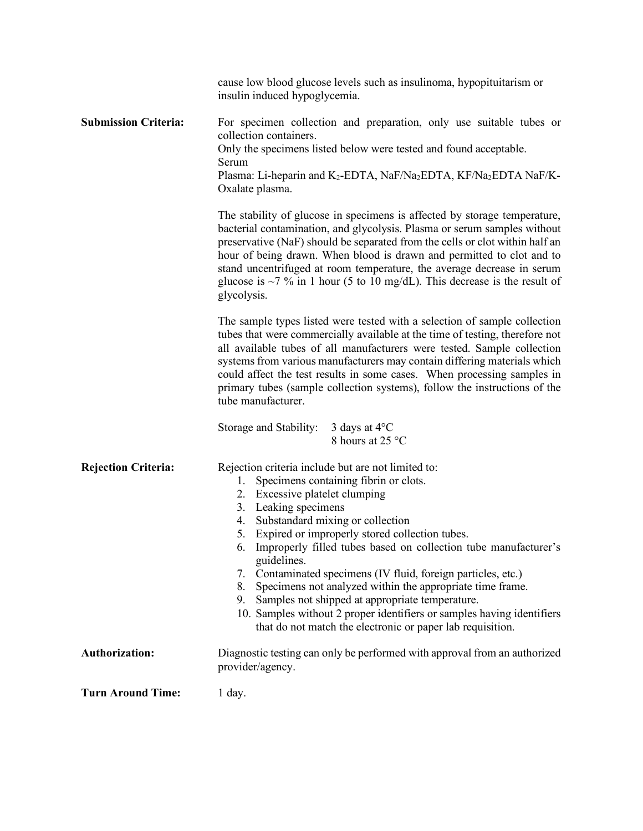|                             | cause low blood glucose levels such as insulinoma, hypopituitarism or<br>insulin induced hypoglycemia.                                                                                                                                                                                                                                                                                                                                                                                                                                                                                                                                                                                                |
|-----------------------------|-------------------------------------------------------------------------------------------------------------------------------------------------------------------------------------------------------------------------------------------------------------------------------------------------------------------------------------------------------------------------------------------------------------------------------------------------------------------------------------------------------------------------------------------------------------------------------------------------------------------------------------------------------------------------------------------------------|
| <b>Submission Criteria:</b> | For specimen collection and preparation, only use suitable tubes or<br>collection containers.<br>Only the specimens listed below were tested and found acceptable.<br>Serum<br>Plasma: Li-heparin and K <sub>2</sub> -EDTA, NaF/Na <sub>2</sub> EDTA, KF/Na <sub>2</sub> EDTA NaF/K-<br>Oxalate plasma.                                                                                                                                                                                                                                                                                                                                                                                               |
|                             | The stability of glucose in specimens is affected by storage temperature,<br>bacterial contamination, and glycolysis. Plasma or serum samples without<br>preservative (NaF) should be separated from the cells or clot within half an<br>hour of being drawn. When blood is drawn and permitted to clot and to<br>stand uncentrifuged at room temperature, the average decrease in serum<br>glucose is $\sim$ 7 % in 1 hour (5 to 10 mg/dL). This decrease is the result of<br>glycolysis.                                                                                                                                                                                                            |
|                             | The sample types listed were tested with a selection of sample collection<br>tubes that were commercially available at the time of testing, therefore not<br>all available tubes of all manufacturers were tested. Sample collection<br>systems from various manufacturers may contain differing materials which<br>could affect the test results in some cases. When processing samples in<br>primary tubes (sample collection systems), follow the instructions of the<br>tube manufacturer.                                                                                                                                                                                                        |
|                             | Storage and Stability:<br>3 days at $4^{\circ}$ C<br>8 hours at 25 °C                                                                                                                                                                                                                                                                                                                                                                                                                                                                                                                                                                                                                                 |
| <b>Rejection Criteria:</b>  | Rejection criteria include but are not limited to:<br>Specimens containing fibrin or clots.<br>1.<br>Excessive platelet clumping<br>2.<br>3. Leaking specimens<br>4. Substandard mixing or collection<br>5. Expired or improperly stored collection tubes.<br>Improperly filled tubes based on collection tube manufacturer's<br>$\mathfrak{b}$ .<br>guidelines.<br>7. Contaminated specimens (IV fluid, foreign particles, etc.)<br>8.<br>Specimens not analyzed within the appropriate time frame.<br>Samples not shipped at appropriate temperature.<br>9.<br>10. Samples without 2 proper identifiers or samples having identifiers<br>that do not match the electronic or paper lab requisition. |
| <b>Authorization:</b>       | Diagnostic testing can only be performed with approval from an authorized<br>provider/agency.                                                                                                                                                                                                                                                                                                                                                                                                                                                                                                                                                                                                         |
| <b>Turn Around Time:</b>    | 1 day.                                                                                                                                                                                                                                                                                                                                                                                                                                                                                                                                                                                                                                                                                                |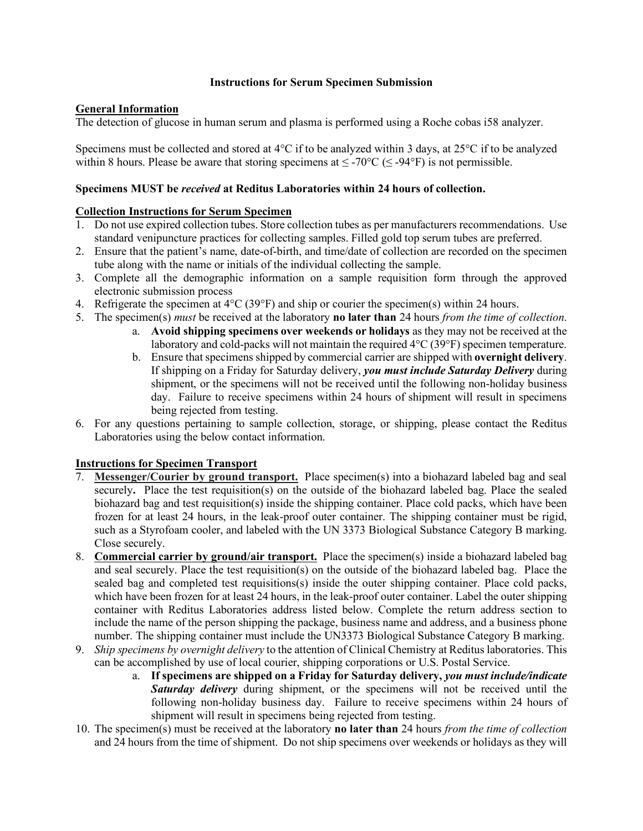#### **Instructions for Serum Specimen Submission**

## **General Information**

The detection of glucose in human serum and plasma is performed using a Roche cobas i58 analyzer.

Specimens must be collected and stored at 4°C if to be analyzed within 3 days, at 25°C if to be analyzed within 8 hours. Please be aware that storing specimens at  $\leq$  -70°C ( $\leq$  -94°F) is not permissible.

#### **Specimens MUST be** *received* **at Reditus Laboratories within 24 hours of collection.**

### **Collection Instructions for Serum Specimen**

- 1. Do not use expired collection tubes. Store collection tubes as per manufacturers recommendations. Use standard venipuncture practices for collecting samples. Filled gold top serum tubes are preferred.
- 2. Ensure that the patient's name, date-of-birth, and time/date of collection are recorded on the specimen tube along with the name or initials of the individual collecting the sample.
- 3. Complete all the demographic information on a sample requisition form through the approved electronic submission process
- 4. Refrigerate the specimen at  $4^{\circ}C(39^{\circ}F)$  and ship or courier the specimen(s) within 24 hours.
- 5. The specimen(s) *must* be received at the laboratory **no later than** 24 hours *from the time of collection*.
	- a. **Avoid shipping specimens over weekends or holidays** as they may not be received at the laboratory and cold-packs will not maintain the required 4°C (39°F) specimen temperature.
	- b. Ensure that specimens shipped by commercial carrier are shipped with **overnight delivery**. If shipping on a Friday for Saturday delivery, *you must include Saturday Delivery* during shipment, or the specimens will not be received until the following non-holiday business day. Failure to receive specimens within 24 hours of shipment will result in specimens being rejected from testing.
- 6. For any questions pertaining to sample collection, storage, or shipping, please contact the Reditus Laboratories using the below contact information.

## **Instructions for Specimen Transport**

- 7. **Messenger/Courier by ground transport.** Place specimen(s) into a biohazard labeled bag and seal securely**.** Place the test requisition(s) on the outside of the biohazard labeled bag. Place the sealed biohazard bag and test requisition(s) inside the shipping container. Place cold packs, which have been frozen for at least 24 hours, in the leak-proof outer container. The shipping container must be rigid, such as a Styrofoam cooler, and labeled with the UN 3373 Biological Substance Category B marking. Close securely.
- 8. **Commercial carrier by ground/air transport.** Place the specimen(s) inside a biohazard labeled bag and seal securely. Place the test requisition(s) on the outside of the biohazard labeled bag. Place the sealed bag and completed test requisitions(s) inside the outer shipping container. Place cold packs, which have been frozen for at least 24 hours, in the leak-proof outer container. Label the outer shipping container with Reditus Laboratories address listed below. Complete the return address section to include the name of the person shipping the package, business name and address, and a business phone number. The shipping container must include the UN3373 Biological Substance Category B marking.
- 9. *Ship specimens by overnight delivery* to the attention of Clinical Chemistry at Reditus laboratories. This can be accomplished by use of local courier, shipping corporations or U.S. Postal Service.
	- a. **If specimens are shipped on a Friday for Saturday delivery,** *you must include/indicate Saturday delivery* during shipment, or the specimens will not be received until the following non-holiday business day. Failure to receive specimens within 24 hours of shipment will result in specimens being rejected from testing.
- 10. The specimen(s) must be received at the laboratory **no later than** 24 hours *from the time of collection* and 24 hours from the time of shipment. Do not ship specimens over weekends or holidays as they will